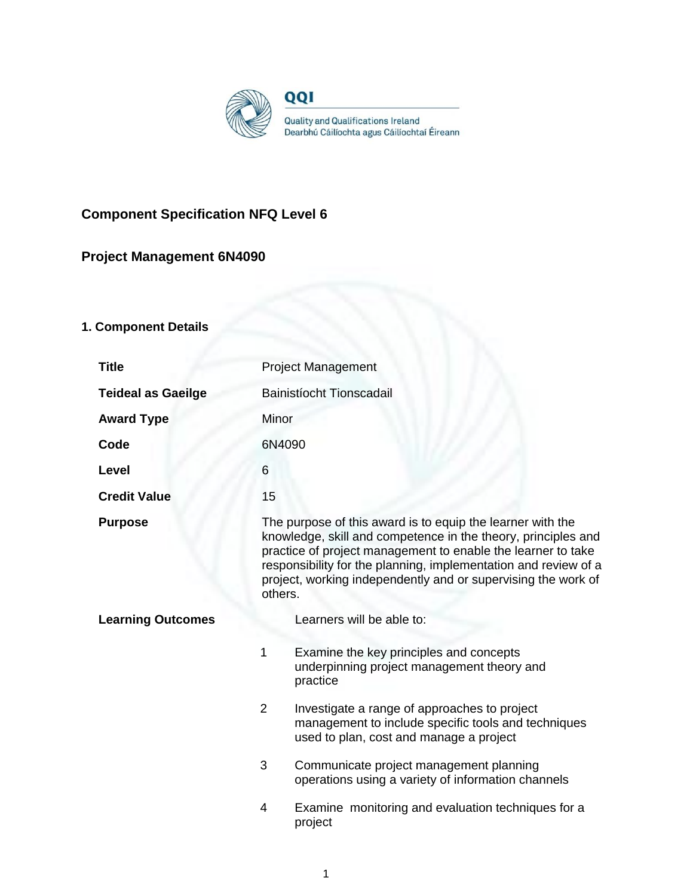

# **Component Specification NFQ Level 6**

# **Project Management 6N4090**

# **1. Component Details**

| <b>Title</b>              | <b>Project Management</b>                                                                                                                                                                                                                                                                                                                  |                                                                                                                                                |
|---------------------------|--------------------------------------------------------------------------------------------------------------------------------------------------------------------------------------------------------------------------------------------------------------------------------------------------------------------------------------------|------------------------------------------------------------------------------------------------------------------------------------------------|
| <b>Teideal as Gaeilge</b> | <b>Bainistíocht Tionscadail</b>                                                                                                                                                                                                                                                                                                            |                                                                                                                                                |
| <b>Award Type</b>         | Minor                                                                                                                                                                                                                                                                                                                                      |                                                                                                                                                |
| Code                      | 6N4090                                                                                                                                                                                                                                                                                                                                     |                                                                                                                                                |
| Level                     | 6                                                                                                                                                                                                                                                                                                                                          |                                                                                                                                                |
| <b>Credit Value</b>       | 15                                                                                                                                                                                                                                                                                                                                         |                                                                                                                                                |
| <b>Purpose</b>            | The purpose of this award is to equip the learner with the<br>knowledge, skill and competence in the theory, principles and<br>practice of project management to enable the learner to take<br>responsibility for the planning, implementation and review of a<br>project, working independently and or supervising the work of<br>others. |                                                                                                                                                |
| <b>Learning Outcomes</b>  |                                                                                                                                                                                                                                                                                                                                            | Learners will be able to:                                                                                                                      |
|                           | 1                                                                                                                                                                                                                                                                                                                                          | Examine the key principles and concepts<br>underpinning project management theory and<br>practice                                              |
|                           | $\overline{2}$                                                                                                                                                                                                                                                                                                                             | Investigate a range of approaches to project<br>management to include specific tools and techniques<br>used to plan, cost and manage a project |
|                           | 3                                                                                                                                                                                                                                                                                                                                          | Communicate project management planning<br>operations using a variety of information channels                                                  |
|                           | 4                                                                                                                                                                                                                                                                                                                                          | Examine monitoring and evaluation techniques for a<br>project                                                                                  |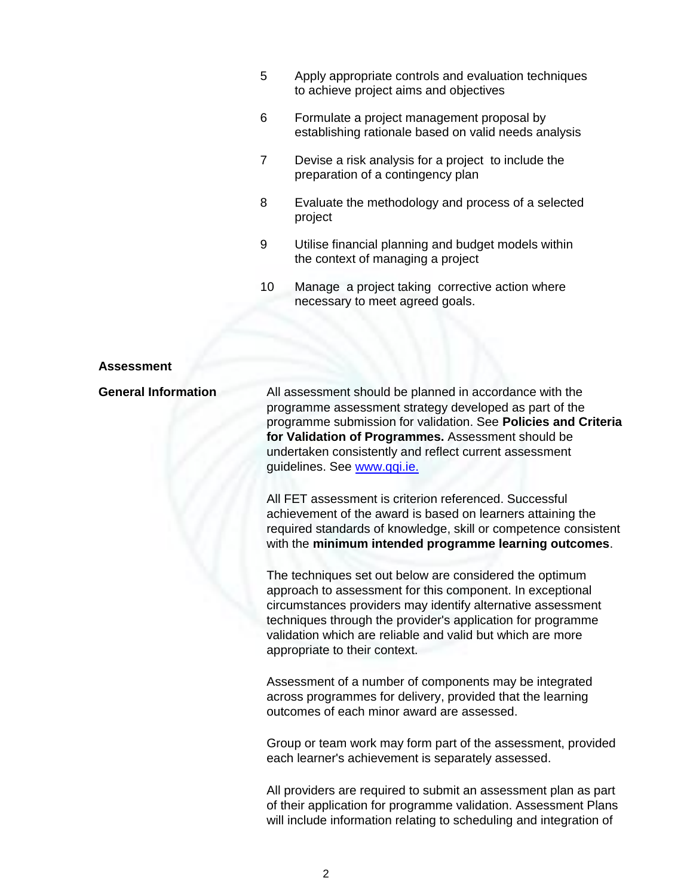- 5 Apply appropriate controls and evaluation techniques to achieve project aims and objectives
- 6 Formulate a project management proposal by establishing rationale based on valid needs analysis
- 7 Devise a risk analysis for a project to include the preparation of a contingency plan
- 8 Evaluate the methodology and process of a selected project
- 9 Utilise financial planning and budget models within the context of managing a project
- 10 Manage a project taking corrective action where necessary to meet agreed goals.

#### **Assessment**

**General Information** All assessment should be planned in accordance with the programme assessment strategy developed as part of the programme submission for validation. See **Policies and Criteria for Validation of Programmes.** Assessment should be undertaken consistently and reflect current assessment guidelines. See [www.qqi.ie.](http://www.qqi.ie/) 

> All FET assessment is criterion referenced. Successful achievement of the award is based on learners attaining the required standards of knowledge, skill or competence consistent with the **minimum intended programme learning outcomes**.

The techniques set out below are considered the optimum approach to assessment for this component. In exceptional circumstances providers may identify alternative assessment techniques through the provider's application for programme validation which are reliable and valid but which are more appropriate to their context.

Assessment of a number of components may be integrated across programmes for delivery, provided that the learning outcomes of each minor award are assessed.

Group or team work may form part of the assessment, provided each learner's achievement is separately assessed.

All providers are required to submit an assessment plan as part of their application for programme validation. Assessment Plans will include information relating to scheduling and integration of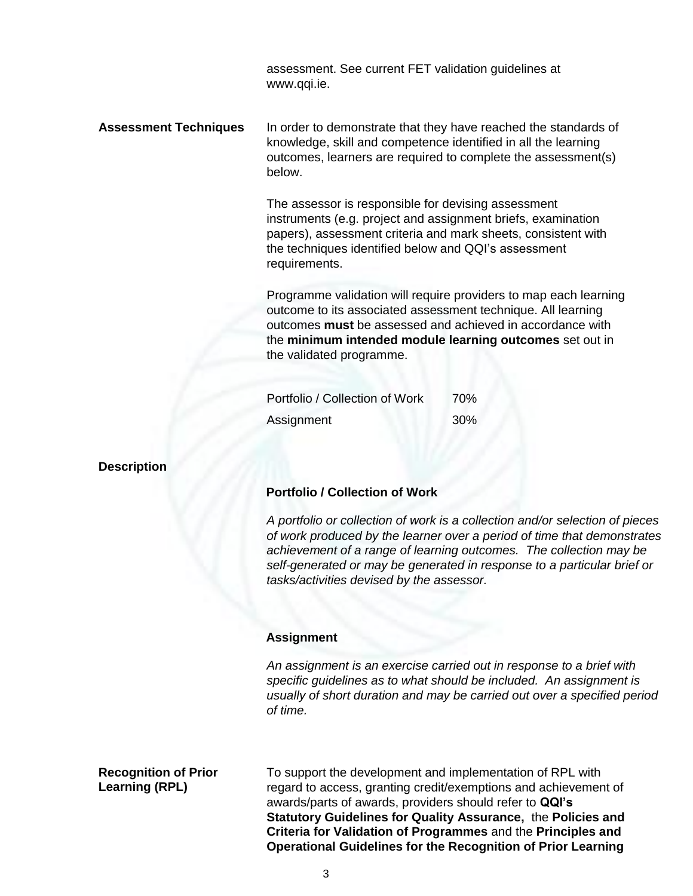assessment. See current FET validation guidelines at [www.qqi.ie.](http://www.qqi.ie/)

**Assessment Techniques** In order to demonstrate that they have reached the standards of knowledge, skill and competence identified in all the learning outcomes, learners are required to complete the assessment(s) below.

> The assessor is responsible for devising assessment instruments (e.g. project and assignment briefs, examination papers), assessment criteria and mark sheets, consistent with the techniques identified below and QQI's assessment requirements.

Programme validation will require providers to map each learning outcome to its associated assessment technique. All learning outcomes **must** be assessed and achieved in accordance with the **minimum intended module learning outcomes** set out in the validated programme.

| Portfolio / Collection of Work | 70%        |
|--------------------------------|------------|
| Assignment                     | <b>30%</b> |

#### **Description**

## **Portfolio / Collection of Work**

*A portfolio or collection of work is a collection and/or selection of pieces of work produced by the learner over a period of time that demonstrates achievement of a range of learning outcomes. The collection may be self-generated or may be generated in response to a particular brief or tasks/activities devised by the assessor.*

#### **Assignment**

*An assignment is an exercise carried out in response to a brief with specific guidelines as to what should be included. An assignment is usually of short duration and may be carried out over a specified period of time.*

**Recognition of Prior Learning (RPL)**

To support the development and implementation of RPL with regard to access, granting credit/exemptions and achievement of awards/parts of awards, providers should refer to **QQI's Statutory Guidelines for Quality Assurance,** the **Policies and Criteria for Validation of Programmes** and the **Principles and Operational Guidelines for the Recognition of Prior Learning**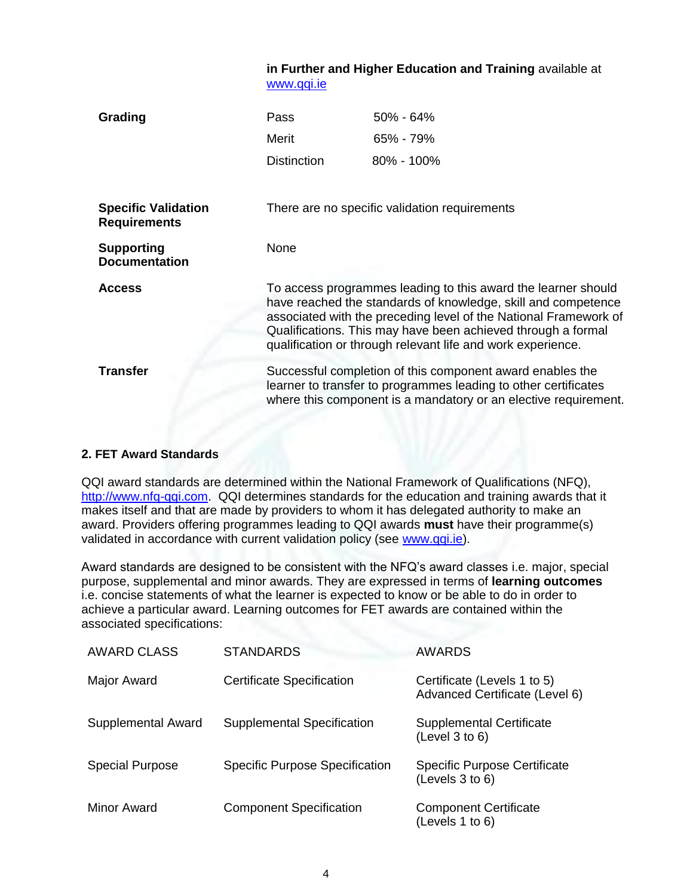## **in Further and Higher Education and Training** available at [www.qqi.ie](http://www.qqi.ie/)

| Grading                                           | Pass                                                                                                                                                                                                                                                                                                                              | $50\% - 64\%$                                                                                                                                                                                   |
|---------------------------------------------------|-----------------------------------------------------------------------------------------------------------------------------------------------------------------------------------------------------------------------------------------------------------------------------------------------------------------------------------|-------------------------------------------------------------------------------------------------------------------------------------------------------------------------------------------------|
|                                                   | Merit                                                                                                                                                                                                                                                                                                                             | 65% - 79%                                                                                                                                                                                       |
|                                                   | <b>Distinction</b>                                                                                                                                                                                                                                                                                                                | $80\% - 100\%$                                                                                                                                                                                  |
|                                                   |                                                                                                                                                                                                                                                                                                                                   |                                                                                                                                                                                                 |
| <b>Specific Validation</b><br><b>Requirements</b> |                                                                                                                                                                                                                                                                                                                                   | There are no specific validation requirements                                                                                                                                                   |
| <b>Supporting</b><br><b>Documentation</b>         | None                                                                                                                                                                                                                                                                                                                              |                                                                                                                                                                                                 |
| <b>Access</b>                                     | To access programmes leading to this award the learner should<br>have reached the standards of knowledge, skill and competence<br>associated with the preceding level of the National Framework of<br>Qualifications. This may have been achieved through a formal<br>qualification or through relevant life and work experience. |                                                                                                                                                                                                 |
| <b>Transfer</b>                                   |                                                                                                                                                                                                                                                                                                                                   | Successful completion of this component award enables the<br>learner to transfer to programmes leading to other certificates<br>where this component is a mandatory or an elective requirement. |

### **2. FET Award Standards**

QQI award standards are determined within the National Framework of Qualifications (NFQ), [http://www.nfq-qqi.com.](http://www.nfq-qqi.com/) QQI determines standards for the education and training awards that it makes itself and that are made by providers to whom it has delegated authority to make an award. Providers offering programmes leading to QQI awards **must** have their programme(s) validated in accordance with current validation policy (see [www.qqi.ie\)](http://www.qqi.ie/).

Award standards are designed to be consistent with the NFQ's award classes i.e. major, special purpose, supplemental and minor awards. They are expressed in terms of **learning outcomes**  i.e. concise statements of what the learner is expected to know or be able to do in order to achieve a particular award. Learning outcomes for FET awards are contained within the associated specifications:

| <b>AWARD CLASS</b>     | <b>STANDARDS</b>                      | AWARDS                                                        |
|------------------------|---------------------------------------|---------------------------------------------------------------|
| Major Award            | <b>Certificate Specification</b>      | Certificate (Levels 1 to 5)<br>Advanced Certificate (Level 6) |
| Supplemental Award     | <b>Supplemental Specification</b>     | <b>Supplemental Certificate</b><br>(Level 3 to 6)             |
| <b>Special Purpose</b> | <b>Specific Purpose Specification</b> | <b>Specific Purpose Certificate</b><br>(Levels 3 to 6)        |
| Minor Award            | <b>Component Specification</b>        | <b>Component Certificate</b><br>(Levels 1 to 6)               |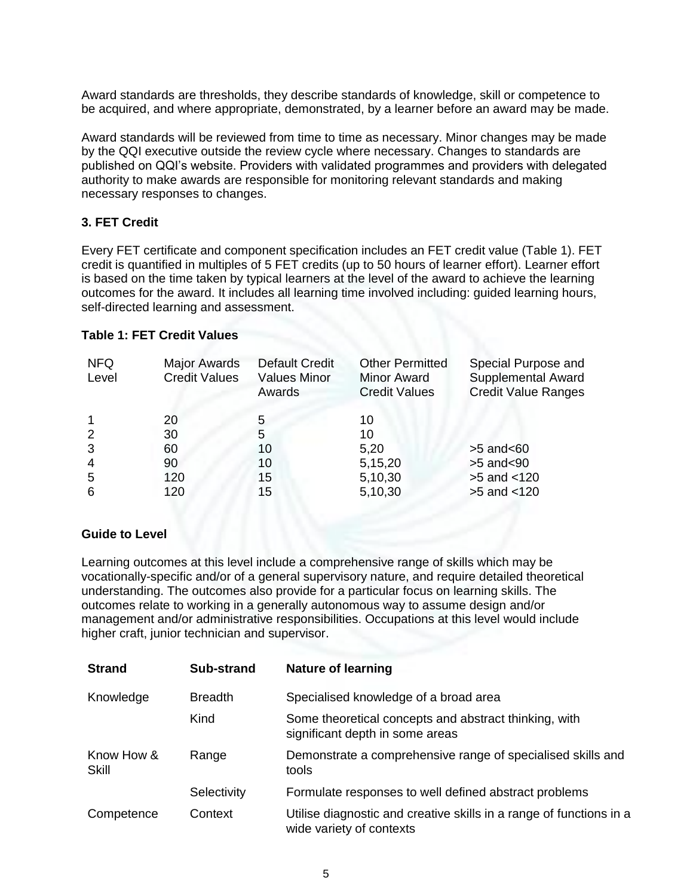Award standards are thresholds, they describe standards of knowledge, skill or competence to be acquired, and where appropriate, demonstrated, by a learner before an award may be made.

Award standards will be reviewed from time to time as necessary. Minor changes may be made by the QQI executive outside the review cycle where necessary. Changes to standards are published on QQI's website. Providers with validated programmes and providers with delegated authority to make awards are responsible for monitoring relevant standards and making necessary responses to changes.

#### **3. FET Credit**

Every FET certificate and component specification includes an FET credit value (Table 1). FET credit is quantified in multiples of 5 FET credits (up to 50 hours of learner effort). Learner effort is based on the time taken by typical learners at the level of the award to achieve the learning outcomes for the award. It includes all learning time involved including: guided learning hours, self-directed learning and assessment.

#### **Table 1: FET Credit Values**

| <b>NFQ</b><br>Level | <b>Major Awards</b><br><b>Credit Values</b> | <b>Default Credit</b><br><b>Values Minor</b><br>Awards | <b>Other Permitted</b><br><b>Minor Award</b><br><b>Credit Values</b> | Special Purpose and<br><b>Supplemental Award</b><br><b>Credit Value Ranges</b> |
|---------------------|---------------------------------------------|--------------------------------------------------------|----------------------------------------------------------------------|--------------------------------------------------------------------------------|
|                     | 20                                          | 5                                                      | 10                                                                   |                                                                                |
| $\overline{2}$      | 30                                          | 5                                                      | 10                                                                   |                                                                                |
| 3                   | 60                                          | 10                                                     | 5,20                                                                 | $>5$ and $< 60$                                                                |
| $\overline{4}$      | 90                                          | 10                                                     | 5,15,20                                                              | $>5$ and $<$ 90                                                                |
| 5                   | 120                                         | 15                                                     | 5,10,30                                                              | $>5$ and $<120$                                                                |
| 6                   | 120                                         | 15                                                     | 5,10,30                                                              | >5 and <120                                                                    |

#### **Guide to Level**

Learning outcomes at this level include a comprehensive range of skills which may be vocationally-specific and/or of a general supervisory nature, and require detailed theoretical understanding. The outcomes also provide for a particular focus on learning skills. The outcomes relate to working in a generally autonomous way to assume design and/or management and/or administrative responsibilities. Occupations at this level would include higher craft, junior technician and supervisor.

| <b>Strand</b>              | <b>Sub-strand</b> | <b>Nature of learning</b>                                                                       |
|----------------------------|-------------------|-------------------------------------------------------------------------------------------------|
| Knowledge                  | <b>Breadth</b>    | Specialised knowledge of a broad area                                                           |
|                            | Kind              | Some theoretical concepts and abstract thinking, with<br>significant depth in some areas        |
| Know How &<br><b>Skill</b> | Range             | Demonstrate a comprehensive range of specialised skills and<br>tools                            |
|                            | Selectivity       | Formulate responses to well defined abstract problems                                           |
| Competence                 | Context           | Utilise diagnostic and creative skills in a range of functions in a<br>wide variety of contexts |